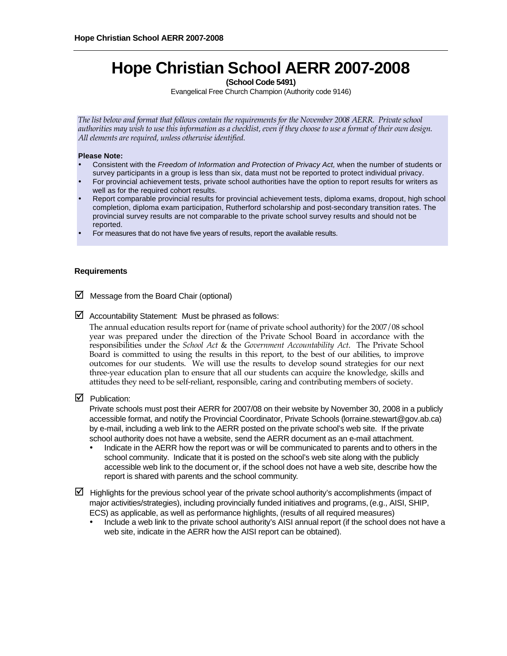# **Hope Christian School AERR 2007-2008**

**(School Code 5491)** 

Evangelical Free Church Champion (Authority code 9146)

*The list below and format that follows contain the requirements for the November 2008 AERR. Private school authorities may wish to use this information as a checklist, even if they choose to use a format of their own design. All elements are required, unless otherwise identified.* 

#### **Please Note:**

- Consistent with the *Freedom of Information and Protection of Privacy Act,* when the number of students or survey participants in a group is less than six, data must not be reported to protect individual privacy.
- For provincial achievement tests, private school authorities have the option to report results for writers as well as for the required cohort results.
- Report comparable provincial results for provincial achievement tests, diploma exams, dropout, high school completion, diploma exam participation, Rutherford scholarship and post-secondary transition rates. The provincial survey results are not comparable to the private school survey results and should not be reported.
- For measures that do not have five years of results, report the available results.

#### **Requirements**

- $\boxtimes$  Message from the Board Chair (optional)
- $\boxtimes$  Accountability Statement: Must be phrased as follows:

The annual education results report for (name of private school authority) for the 2007/08 school year was prepared under the direction of the Private School Board in accordance with the responsibilities under the *School Act* & the *Government Accountability Act*. The Private School Board is committed to using the results in this report, to the best of our abilities, to improve outcomes for our students. We will use the results to develop sound strategies for our next three-year education plan to ensure that all our students can acquire the knowledge, skills and attitudes they need to be self-reliant, responsible, caring and contributing members of society.

 $\nabla$  Publication:

Private schools must post their AERR for 2007/08 on their website by November 30, 2008 in a publicly accessible format, and notify the Provincial Coordinator, Private Schools (lorraine.stewart@gov.ab.ca) by e-mail, including a web link to the AERR posted on the private school's web site. If the private school authority does not have a website, send the AERR document as an e-mail attachment.

- Indicate in the AERR how the report was or will be communicated to parents and to others in the school community. Indicate that it is posted on the school's web site along with the publicly accessible web link to the document or, if the school does not have a web site, describe how the report is shared with parents and the school community.
- $\boxtimes$  Highlights for the previous school year of the private school authority's accomplishments (impact of major activities/strategies), including provincially funded initiatives and programs, (e.g., AISI, SHIP, ECS) as applicable, as well as performance highlights, (results of all required measures)
	- Include a web link to the private school authority's AISI annual report (if the school does not have a web site, indicate in the AERR how the AISI report can be obtained).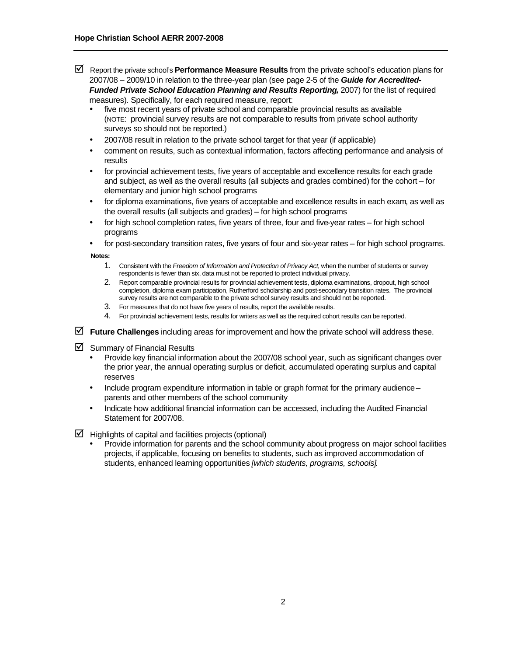- Report the private school's **Performance Measure Results** from the private school's education plans for 2007/08 – 2009/10 in relation to the three-year plan (see page 2-5 of the *Guide for Accredited-Funded Private School Education Planning and Results Reporting,* 2007) for the list of required measures). Specifically, for each required measure, report:
	- five most recent years of private school and comparable provincial results as available (NOTE: provincial survey results are not comparable to results from private school authority surveys so should not be reported.)
	- 2007/08 result in relation to the private school target for that year (if applicable)
	- comment on results, such as contextual information, factors affecting performance and analysis of results
	- for provincial achievement tests, five years of acceptable and excellence results for each grade and subject, as well as the overall results (all subjects and grades combined) for the cohort – for elementary and junior high school programs
	- for diploma examinations, five years of acceptable and excellence results in each exam, as well as the overall results (all subjects and grades) – for high school programs
	- for high school completion rates, five years of three, four and five-year rates for high school programs
	- for post-secondary transition rates, five years of four and six-year rates for high school programs.

**Notes:** 

- 1. Consistent with the *Freedom of Information and Protection of Privacy Act*, when the number of students or survey respondents is fewer than six, data must not be reported to protect individual privacy.
- 2. Report comparable provincial results for provincial achievement tests, diploma examinations, dropout, high school completion, diploma exam participation, Rutherford scholarship and post-secondary transition rates. The provincial survey results are not comparable to the private school survey results and should not be reported.
- 3. For measures that do not have five years of results, report the available results.
- 4. For provincial achievement tests, results for writers as well as the required cohort results can be reported.
- **Future Challenges** including areas for improvement and how the private school will address these.
- $\boxtimes$  Summary of Financial Results
	- Provide key financial information about the 2007/08 school year, such as significant changes over the prior year, the annual operating surplus or deficit, accumulated operating surplus and capital reserves
	- Include program expenditure information in table or graph format for the primary audience parents and other members of the school community
	- Indicate how additional financial information can be accessed, including the Audited Financial Statement for 2007/08.
- $\triangleright$  Highlights of capital and facilities projects (optional)
	- Provide information for parents and the school community about progress on major school facilities projects, if applicable, focusing on benefits to students, such as improved accommodation of students, enhanced learning opportunities *[which students, programs, schools].*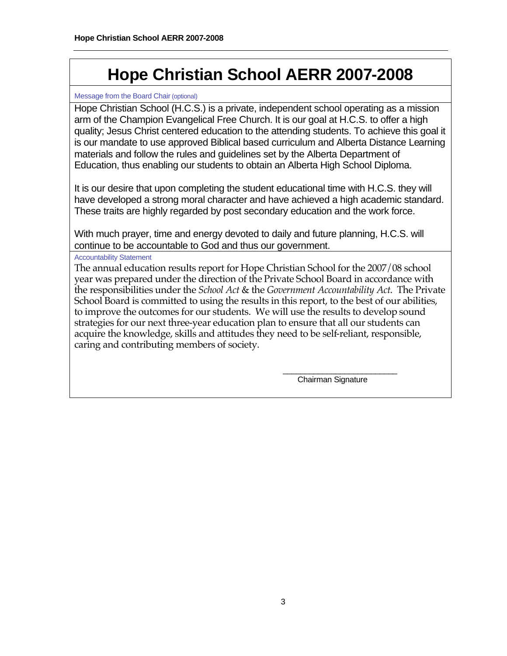# **Hope Christian School AERR 2007-2008**

# Message from the Board Chair (optional)

Hope Christian School (H.C.S.) is a private, independent school operating as a mission arm of the Champion Evangelical Free Church. It is our goal at H.C.S. to offer a high quality; Jesus Christ centered education to the attending students. To achieve this goal it is our mandate to use approved Biblical based curriculum and Alberta Distance Learning materials and follow the rules and guidelines set by the Alberta Department of Education, thus enabling our students to obtain an Alberta High School Diploma.

It is our desire that upon completing the student educational time with H.C.S. they will have developed a strong moral character and have achieved a high academic standard. These traits are highly regarded by post secondary education and the work force.

With much prayer, time and energy devoted to daily and future planning, H.C.S. will continue to be accountable to God and thus our government.

Accountability Statement

The annual education results report for Hope Christian School for the 2007/08 school year was prepared under the direction of the Private School Board in accordance with the responsibilities under the *School Act* & the *Government Accountability Act*. The Private School Board is committed to using the results in this report, to the best of our abilities, to improve the outcomes for our students. We will use the results to develop sound strategies for our next three-year education plan to ensure that all our students can acquire the knowledge, skills and attitudes they need to be self-reliant, responsible, caring and contributing members of society.

 $\frac{1}{\sqrt{2}}$  , and the set of the set of the set of the set of the set of the set of the set of the set of the set of the set of the set of the set of the set of the set of the set of the set of the set of the set of the Chairman Signature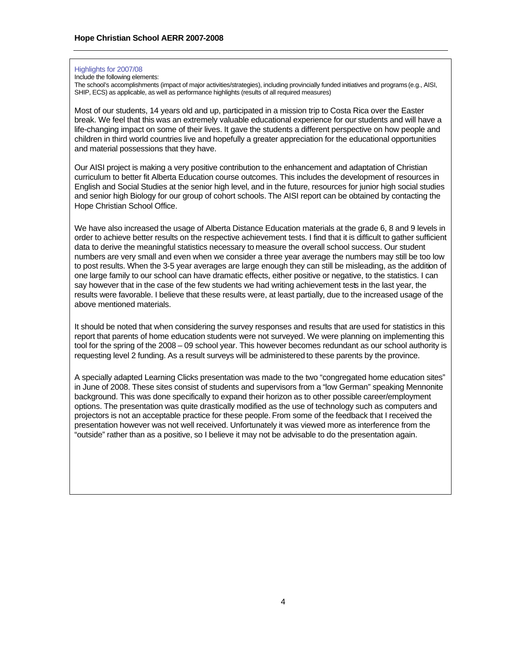#### Highlights for 2007/08

Include the following elements:

The school's accomplishments (impact of major activities/strategies), including provincially funded initiatives and programs (e.g., AISI, SHIP, ECS) as applicable, as well as performance highlights (results of all required measures)

Most of our students, 14 years old and up, participated in a mission trip to Costa Rica over the Easter break. We feel that this was an extremely valuable educational experience for our students and will have a life-changing impact on some of their lives. It gave the students a different perspective on how people and children in third world countries live and hopefully a greater appreciation for the educational opportunities and material possessions that they have.

Our AISI project is making a very positive contribution to the enhancement and adaptation of Christian curriculum to better fit Alberta Education course outcomes. This includes the development of resources in English and Social Studies at the senior high level, and in the future, resources for junior high social studies and senior high Biology for our group of cohort schools. The AISI report can be obtained by contacting the Hope Christian School Office.

We have also increased the usage of Alberta Distance Education materials at the grade 6, 8 and 9 levels in order to achieve better results on the respective achievement tests. I find that it is difficult to gather sufficient data to derive the meaningful statistics necessary to measure the overall school success. Our student numbers are very small and even when we consider a three year average the numbers may still be too low to post results. When the 3-5 year averages are large enough they can still be misleading, as the addition of one large family to our school can have dramatic effects, either positive or negative, to the statistics. I can say however that in the case of the few students we had writing achievement tests in the last year, the results were favorable. I believe that these results were, at least partially, due to the increased usage of the above mentioned materials.

It should be noted that when considering the survey responses and results that are used for statistics in this report that parents of home education students were not surveyed. We were planning on implementing this tool for the spring of the 2008 – 09 school year. This however becomes redundant as our school authority is requesting level 2 funding. As a result surveys will be administered to these parents by the province.

A specially adapted Learning Clicks presentation was made to the two "congregated home education sites" in June of 2008. These sites consist of students and supervisors from a "low German" speaking Mennonite background. This was done specifically to expand their horizon as to other possible career/employment options. The presentation was quite drastically modified as the use of technology such as computers and projectors is not an acceptable practice for these people. From some of the feedback that I received the presentation however was not well received. Unfortunately it was viewed more as interference from the "outside" rather than as a positive, so I believe it may not be advisable to do the presentation again.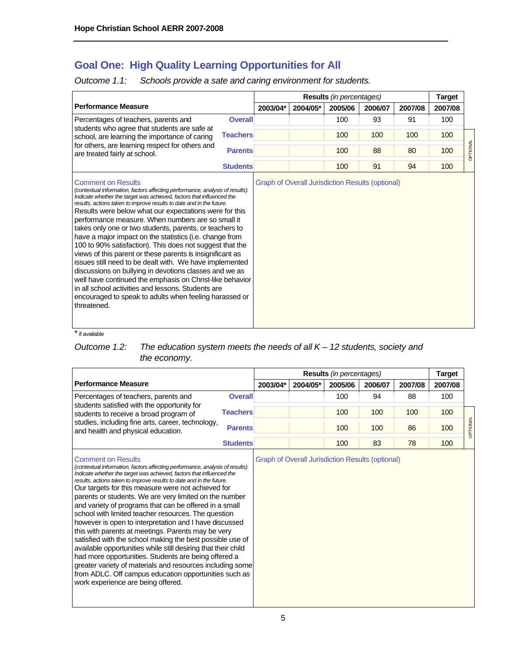# **Goal One: High Quality Learning Opportunities for All**

*Outcome 1.1: Schools provide a sate and caring environment for students.* 

|                                                                                                                                                                                                                                                                                                                                                                                                                                                                                                                                                                                                                                                                                                                                                                                                                                                                                                                                           |                 |          |          | <b>Results</b> (in percentages)                         |         |         | <b>Target</b> |          |
|-------------------------------------------------------------------------------------------------------------------------------------------------------------------------------------------------------------------------------------------------------------------------------------------------------------------------------------------------------------------------------------------------------------------------------------------------------------------------------------------------------------------------------------------------------------------------------------------------------------------------------------------------------------------------------------------------------------------------------------------------------------------------------------------------------------------------------------------------------------------------------------------------------------------------------------------|-----------------|----------|----------|---------------------------------------------------------|---------|---------|---------------|----------|
| <b>Performance Measure</b>                                                                                                                                                                                                                                                                                                                                                                                                                                                                                                                                                                                                                                                                                                                                                                                                                                                                                                                |                 | 2003/04* | 2004/05* | 2005/06                                                 | 2006/07 | 2007/08 | 2007/08       |          |
| Percentages of teachers, parents and                                                                                                                                                                                                                                                                                                                                                                                                                                                                                                                                                                                                                                                                                                                                                                                                                                                                                                      | <b>Overall</b>  |          |          | 100                                                     | 93      | 91      | 100           |          |
| students who agree that students are safe at<br>school, are learning the importance of caring<br>for others, are learning respect for others and<br>are treated fairly at school.                                                                                                                                                                                                                                                                                                                                                                                                                                                                                                                                                                                                                                                                                                                                                         | <b>Teachers</b> |          |          | 100                                                     | 100     | 100     | 100           |          |
|                                                                                                                                                                                                                                                                                                                                                                                                                                                                                                                                                                                                                                                                                                                                                                                                                                                                                                                                           | <b>Parents</b>  |          |          | 100                                                     | 88      | 80      | 100           | OPTIONAL |
|                                                                                                                                                                                                                                                                                                                                                                                                                                                                                                                                                                                                                                                                                                                                                                                                                                                                                                                                           | <b>Students</b> |          |          | 100                                                     | 91      | 94      | 100           |          |
| <b>Comment on Results</b><br>(contextual information, factors affecting performance, analysis of results).<br>Indicate whether the target was achieved, factors that influenced the<br>results, actions taken to improve results to date and in the future.<br>Results were below what our expectations were for this<br>performance measure. When numbers are so small it<br>takes only one or two students, parents, or teachers to<br>have a major impact on the statistics (i.e. change from<br>100 to 90% satisfaction). This does not suggest that the<br>views of this parent or these parents is insignificant as<br>issues still need to be dealt with. We have implemented<br>discussions on bullying in devotions classes and we as<br>well have continued the emphasis on Christ-like behavior<br>in all school activities and lessons. Students are<br>encouraged to speak to adults when feeling harassed or<br>threatened. |                 |          |          | <b>Graph of Overall Jurisdiction Results (optional)</b> |         |         |               |          |

\* if available

*Outcome 1.2: The education system meets the needs of all K – 12 students, society and the economy.* 

|                                                                                                                                                                                                                          |                 |          | <b>Results</b> (in percentages) |         |         |         |         |          |
|--------------------------------------------------------------------------------------------------------------------------------------------------------------------------------------------------------------------------|-----------------|----------|---------------------------------|---------|---------|---------|---------|----------|
| <b>Performance Measure</b>                                                                                                                                                                                               |                 | 2003/04* | 2004/05*                        | 2005/06 | 2006/07 | 2007/08 | 2007/08 |          |
| Percentages of teachers, parents and<br>students satisfied with the opportunity for<br>students to receive a broad program of<br>studies, including fine arts, career, technology,<br>and health and physical education. | <b>Overall</b>  |          |                                 | 100     | 94      | 88      | 100     |          |
|                                                                                                                                                                                                                          | <b>Teachers</b> |          |                                 | 100     | 100     | 100     | 100     |          |
|                                                                                                                                                                                                                          | <b>Parents</b>  |          |                                 | 100     | 100     | 86      | 100     | OPTIONAL |
|                                                                                                                                                                                                                          | <b>Students</b> |          |                                 | 100     | 83      | 78      | 100     |          |

# Comment on Results

*(contextual information, factors affecting performance, analysis of results). Indicate whether the target was achieved, factors that influenced the results, actions taken to improve results to date and in the future.*  Our targets for this measure were not achieved for parents or students. We are very limited on the number and variety of programs that can be offered in a small school with limited teacher resources. The question however is open to interpretation and I have discussed this with parents at meetings. Parents may be very satisfied with the school making the best possible use of available opportunities while still desiring that their child had more opportunities. Students are being offered a greater variety of materials and resources including some from ADLC. Off campus education opportunities such as work experience are being offered.

Graph of Overall Jurisdiction Results (optional)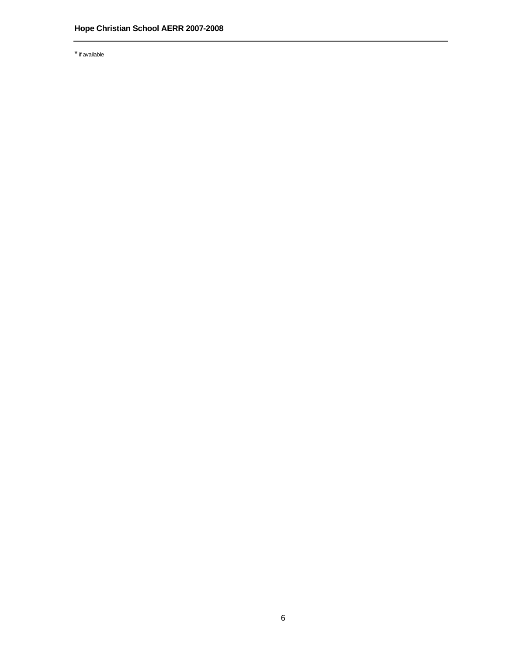\* if available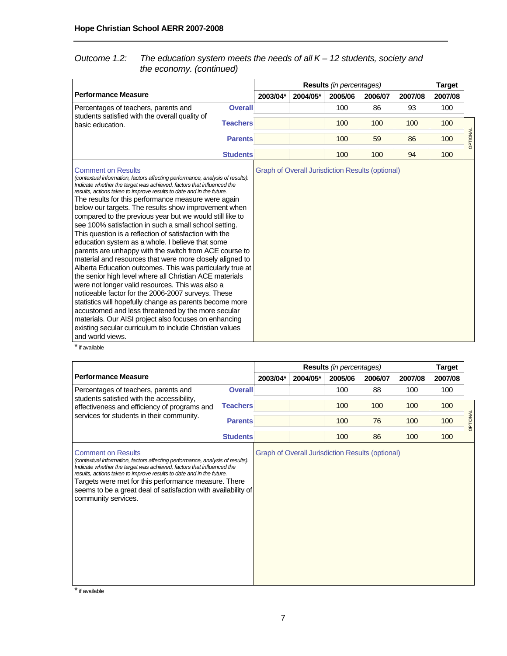# *Outcome 1.2: The education system meets the needs of all K – 12 students, society and the economy. (continued)*

|                                                                                                                                                                                                                                                                                                                                                                                                                                                                                                                                                                                                                                                                                                                                                                                                                                                                                                                                                                                                                                                                                                                                                                                                                                                        |          |                                                         | <b>Results</b> (in percentages) |         |         | <b>Target</b> |          |
|--------------------------------------------------------------------------------------------------------------------------------------------------------------------------------------------------------------------------------------------------------------------------------------------------------------------------------------------------------------------------------------------------------------------------------------------------------------------------------------------------------------------------------------------------------------------------------------------------------------------------------------------------------------------------------------------------------------------------------------------------------------------------------------------------------------------------------------------------------------------------------------------------------------------------------------------------------------------------------------------------------------------------------------------------------------------------------------------------------------------------------------------------------------------------------------------------------------------------------------------------------|----------|---------------------------------------------------------|---------------------------------|---------|---------|---------------|----------|
| <b>Performance Measure</b>                                                                                                                                                                                                                                                                                                                                                                                                                                                                                                                                                                                                                                                                                                                                                                                                                                                                                                                                                                                                                                                                                                                                                                                                                             | 2003/04* | 2004/05*                                                | 2005/06                         | 2006/07 | 2007/08 | 2007/08       |          |
| Percentages of teachers, parents and<br><b>Overall</b>                                                                                                                                                                                                                                                                                                                                                                                                                                                                                                                                                                                                                                                                                                                                                                                                                                                                                                                                                                                                                                                                                                                                                                                                 |          |                                                         | 100                             | 86      | 93      | 100           |          |
| students satisfied with the overall quality of<br><b>Teachers</b><br>basic education.                                                                                                                                                                                                                                                                                                                                                                                                                                                                                                                                                                                                                                                                                                                                                                                                                                                                                                                                                                                                                                                                                                                                                                  |          |                                                         | 100                             | 100     | 100     | 100           |          |
| <b>Parents</b>                                                                                                                                                                                                                                                                                                                                                                                                                                                                                                                                                                                                                                                                                                                                                                                                                                                                                                                                                                                                                                                                                                                                                                                                                                         |          |                                                         | 100                             | 59      | 86      | 100           | OPTIONAL |
| <b>Students</b>                                                                                                                                                                                                                                                                                                                                                                                                                                                                                                                                                                                                                                                                                                                                                                                                                                                                                                                                                                                                                                                                                                                                                                                                                                        |          |                                                         | 100                             | 100     | 94      | 100           |          |
| <b>Comment on Results</b><br>(contextual information, factors affecting performance, analysis of results).<br>Indicate whether the target was achieved, factors that influenced the<br>results, actions taken to improve results to date and in the future.<br>The results for this performance measure were again<br>below our targets. The results show improvement when<br>compared to the previous year but we would still like to<br>see 100% satisfaction in such a small school setting.<br>This question is a reflection of satisfaction with the<br>education system as a whole. I believe that some<br>parents are unhappy with the switch from ACE course to<br>material and resources that were more closely aligned to<br>Alberta Education outcomes. This was particularly true at<br>the senior high level where all Christian ACE materials<br>were not longer valid resources. This was also a<br>noticeable factor for the 2006-2007 surveys. These<br>statistics will hopefully change as parents become more<br>accustomed and less threatened by the more secular<br>materials. Our AISI project also focuses on enhancing<br>existing secular curriculum to include Christian values<br>and world views.<br>$*$ if an indial $*$ |          | <b>Graph of Overall Jurisdiction Results (optional)</b> |                                 |         |         |               |          |

\* if available

|                                                                                                                                                                                                                                                                                                                                                                                                                     |                 |          |                                                         | Results (in percentages) |         |         | <b>Target</b> |          |
|---------------------------------------------------------------------------------------------------------------------------------------------------------------------------------------------------------------------------------------------------------------------------------------------------------------------------------------------------------------------------------------------------------------------|-----------------|----------|---------------------------------------------------------|--------------------------|---------|---------|---------------|----------|
| <b>Performance Measure</b>                                                                                                                                                                                                                                                                                                                                                                                          |                 | 2003/04* | 2004/05*                                                | 2005/06                  | 2006/07 | 2007/08 | 2007/08       |          |
| Percentages of teachers, parents and<br>students satisfied with the accessibility,                                                                                                                                                                                                                                                                                                                                  | <b>Overall</b>  |          |                                                         | 100                      | 88      | 100     | 100           |          |
| effectiveness and efficiency of programs and                                                                                                                                                                                                                                                                                                                                                                        | <b>Teachers</b> |          |                                                         | 100                      | 100     | 100     | 100           |          |
| services for students in their community.                                                                                                                                                                                                                                                                                                                                                                           | <b>Parents</b>  |          |                                                         | 100                      | 76      | 100     | 100           | OPTIONAL |
|                                                                                                                                                                                                                                                                                                                                                                                                                     | <b>Students</b> |          |                                                         | 100                      | 86      | 100     | 100           |          |
| <b>Comment on Results</b><br>(contextual information, factors affecting performance, analysis of results).<br>Indicate whether the target was achieved, factors that influenced the<br>results, actions taken to improve results to date and in the future.<br>Targets were met for this performance measure. There<br>seems to be a great deal of satisfaction with availability of<br>community services.<br>$* $ |                 |          | <b>Graph of Overall Jurisdiction Results (optional)</b> |                          |         |         |               |          |

\* if available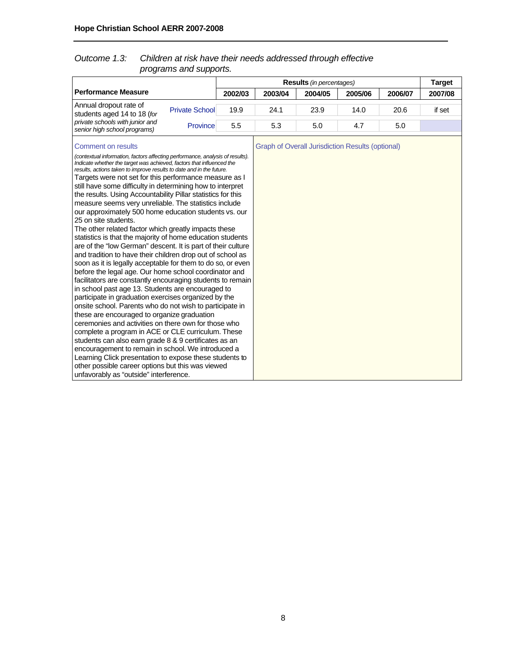# *Outcome 1.3: Children at risk have their needs addressed through effective programs and supports.*

|                                                                                                                                                                                                                                                                                                                                                                                                                                                                                                                                                                                                                                                                                                                                                                                                                                                                                                                                                                                                                                                                                                                                                                                                                                                                                                                                                                                                                                                                                                                                                                                                                                                        |                       |         | <b>Results</b> (in percentages) |                                                         | <b>Target</b> |         |         |
|--------------------------------------------------------------------------------------------------------------------------------------------------------------------------------------------------------------------------------------------------------------------------------------------------------------------------------------------------------------------------------------------------------------------------------------------------------------------------------------------------------------------------------------------------------------------------------------------------------------------------------------------------------------------------------------------------------------------------------------------------------------------------------------------------------------------------------------------------------------------------------------------------------------------------------------------------------------------------------------------------------------------------------------------------------------------------------------------------------------------------------------------------------------------------------------------------------------------------------------------------------------------------------------------------------------------------------------------------------------------------------------------------------------------------------------------------------------------------------------------------------------------------------------------------------------------------------------------------------------------------------------------------------|-----------------------|---------|---------------------------------|---------------------------------------------------------|---------------|---------|---------|
| <b>Performance Measure</b>                                                                                                                                                                                                                                                                                                                                                                                                                                                                                                                                                                                                                                                                                                                                                                                                                                                                                                                                                                                                                                                                                                                                                                                                                                                                                                                                                                                                                                                                                                                                                                                                                             |                       | 2002/03 | 2003/04                         | 2004/05                                                 | 2005/06       | 2006/07 | 2007/08 |
| Annual dropout rate of<br>students aged 14 to 18 (for                                                                                                                                                                                                                                                                                                                                                                                                                                                                                                                                                                                                                                                                                                                                                                                                                                                                                                                                                                                                                                                                                                                                                                                                                                                                                                                                                                                                                                                                                                                                                                                                  | <b>Private School</b> | 19.9    | 24.1                            | 23.9                                                    | 14.0          | 20.6    | if set  |
| private schools with junior and<br>senior high school programs)                                                                                                                                                                                                                                                                                                                                                                                                                                                                                                                                                                                                                                                                                                                                                                                                                                                                                                                                                                                                                                                                                                                                                                                                                                                                                                                                                                                                                                                                                                                                                                                        | Province              | 5.5     | 5.3                             | 5.0                                                     | 4.7           | 5.0     |         |
| <b>Comment on results</b><br>(contextual information, factors affecting performance, analysis of results).<br>Indicate whether the target was achieved, factors that influenced the<br>results, actions taken to improve results to date and in the future.<br>Targets were not set for this performance measure as I<br>still have some difficulty in determining how to interpret<br>the results. Using Accountability Pillar statistics for this<br>measure seems very unreliable. The statistics include<br>our approximately 500 home education students vs. our<br>25 on site students.<br>The other related factor which greatly impacts these<br>statistics is that the majority of home education students<br>are of the "low German" descent. It is part of their culture<br>and tradition to have their children drop out of school as<br>soon as it is legally acceptable for them to do so, or even<br>before the legal age. Our home school coordinator and<br>facilitators are constantly encouraging students to remain<br>in school past age 13. Students are encouraged to<br>participate in graduation exercises organized by the<br>onsite school. Parents who do not wish to participate in<br>these are encouraged to organize graduation<br>ceremonies and activities on there own for those who<br>complete a program in ACE or CLE curriculum. These<br>students can also earn grade 8 & 9 certificates as an<br>encouragement to remain in school. We introduced a<br>Learning Click presentation to expose these students to<br>other possible career options but this was viewed<br>unfavorably as "outside" interference. |                       |         |                                 | <b>Graph of Overall Jurisdiction Results (optional)</b> |               |         |         |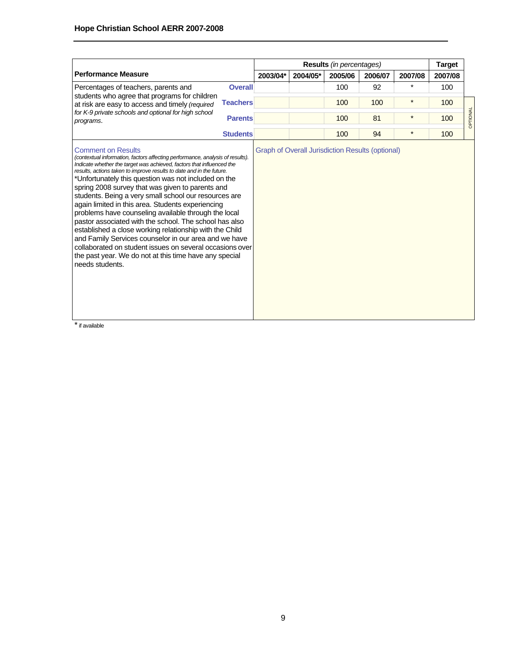|                                                                                                                                                                                                                                                                                                                                                                                                                                                                                                                                                                                                                                                                                                                                                                                                                                                                                        |                 |          |          | <b>Results</b> (in percentages)                         |         |          | <b>Target</b> |          |
|----------------------------------------------------------------------------------------------------------------------------------------------------------------------------------------------------------------------------------------------------------------------------------------------------------------------------------------------------------------------------------------------------------------------------------------------------------------------------------------------------------------------------------------------------------------------------------------------------------------------------------------------------------------------------------------------------------------------------------------------------------------------------------------------------------------------------------------------------------------------------------------|-----------------|----------|----------|---------------------------------------------------------|---------|----------|---------------|----------|
| <b>Performance Measure</b>                                                                                                                                                                                                                                                                                                                                                                                                                                                                                                                                                                                                                                                                                                                                                                                                                                                             |                 | 2003/04* | 2004/05* | 2005/06                                                 | 2006/07 | 2007/08  | 2007/08       |          |
| Percentages of teachers, parents and                                                                                                                                                                                                                                                                                                                                                                                                                                                                                                                                                                                                                                                                                                                                                                                                                                                   | <b>Overall</b>  |          |          | 100                                                     | 92      | $^\star$ | 100           |          |
| students who agree that programs for children<br>at risk are easy to access and timely (required                                                                                                                                                                                                                                                                                                                                                                                                                                                                                                                                                                                                                                                                                                                                                                                       | <b>Teachers</b> |          |          | 100                                                     | 100     | $\star$  | 100           |          |
| for K-9 private schools and optional for high school<br>programs.                                                                                                                                                                                                                                                                                                                                                                                                                                                                                                                                                                                                                                                                                                                                                                                                                      | <b>Parents</b>  |          |          | 100                                                     | 81      | $\star$  | 100           | OPTIONAL |
|                                                                                                                                                                                                                                                                                                                                                                                                                                                                                                                                                                                                                                                                                                                                                                                                                                                                                        | <b>Students</b> |          |          | 100                                                     | 94      | $\star$  | 100           |          |
| <b>Comment on Results</b><br>(contextual information, factors affecting performance, analysis of results).<br>Indicate whether the target was achieved, factors that influenced the<br>results, actions taken to improve results to date and in the future.<br>*Unfortunately this question was not included on the<br>spring 2008 survey that was given to parents and<br>students. Being a very small school our resources are<br>again limited in this area. Students experiencing<br>problems have counseling available through the local<br>pastor associated with the school. The school has also<br>established a close working relationship with the Child<br>and Family Services counselor in our area and we have<br>collaborated on student issues on several occasions over<br>the past year. We do not at this time have any special<br>needs students.<br>* if available |                 |          |          | <b>Graph of Overall Jurisdiction Results (optional)</b> |         |          |               |          |

` if available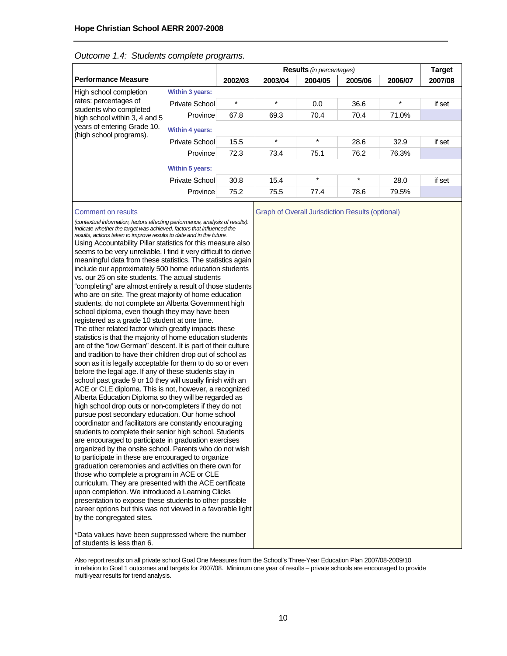#### *Outcome 1.4: Students complete programs.*

|                                                                                                                                            |                        |         |         | <b>Results</b> (in percentages) |         |         | <b>Target</b> |
|--------------------------------------------------------------------------------------------------------------------------------------------|------------------------|---------|---------|---------------------------------|---------|---------|---------------|
| <b>Performance Measure</b>                                                                                                                 |                        | 2002/03 | 2003/04 | 2004/05                         | 2005/06 | 2006/07 | 2007/08       |
| High school completion                                                                                                                     | <b>Within 3 years:</b> |         |         |                                 |         |         |               |
| rates: percentages of<br>students who completed<br>high school within 3, 4 and 5<br>years of entering Grade 10.<br>(high school programs). | Private School         | $\star$ | $\star$ | 0.0                             | 36.6    | $\star$ | if set        |
|                                                                                                                                            | Province               | 67.8    | 69.3    | 70.4                            | 70.4    | 71.0%   |               |
|                                                                                                                                            | <b>Within 4 years:</b> |         |         |                                 |         |         |               |
|                                                                                                                                            | Private School         | 15.5    | $\star$ | $\star$                         | 28.6    | 32.9    | if set        |
|                                                                                                                                            | Province               | 72.3    | 73.4    | 75.1                            | 76.2    | 76.3%   |               |
|                                                                                                                                            | <b>Within 5 years:</b> |         |         |                                 |         |         |               |
|                                                                                                                                            | Private School         | 30.8    | 15.4    | $\star$                         | $\star$ | 28.0    | if set        |
|                                                                                                                                            | Province               | 75.2    | 75.5    | 77.4                            | 78.6    | 79.5%   |               |
|                                                                                                                                            |                        |         |         |                                 |         |         |               |

#### Comment on results Graph of Overall Jurisdiction Results (optional)

*(contextual information, factors affecting performance, analysis of results). Indicate whether the target was achieved, factors that influenced the results, actions taken to improve results to date and in the future.* Using Accountability Pillar statistics for this measure also seems to be very unreliable. I find it very difficult to derive meaningful data from these statistics. The statistics again include our approximately 500 home education students vs. our 25 on site students. The actual students "completing" are almost entirely a result of those students who are on site. The great majority of home education students, do not complete an Alberta Government high school diploma, even though they may have been registered as a grade 10 student at one time. The other related factor which greatly impacts these statistics is that the majority of home education students are of the "low German" descent. It is part of their culture and tradition to have their children drop out of school as soon as it is legally acceptable for them to do so or even before the legal age. If any of these students stay in school past grade 9 or 10 they will usually finish with an ACE or CLE diploma. This is not, however, a recognized Alberta Education Diploma so they will be regarded as high school drop outs or non-completers if they do not pursue post secondary education. Our home school coordinator and facilitators are constantly encouraging students to complete their senior high school. Students are encouraged to participate in graduation exercises organized by the onsite school. Parents who do not wish to participate in these are encouraged to organize graduation ceremonies and activities on there own for those who complete a program in ACE or CLE curriculum. They are presented with the ACE certificate upon completion. We introduced a Learning Clicks presentation to expose these students to other possible career options but this was not viewed in a favorable light by the congregated sites.

\*Data values have been suppressed where the number of students is less than 6.

Also report results on all private school Goal One Measures from the School's Three-Year Education Plan 2007/08-2009/10 in relation to Goal 1 outcomes and targets for 2007/08. Minimum one year of results – private schools are encouraged to provide multi-year results for trend analysis.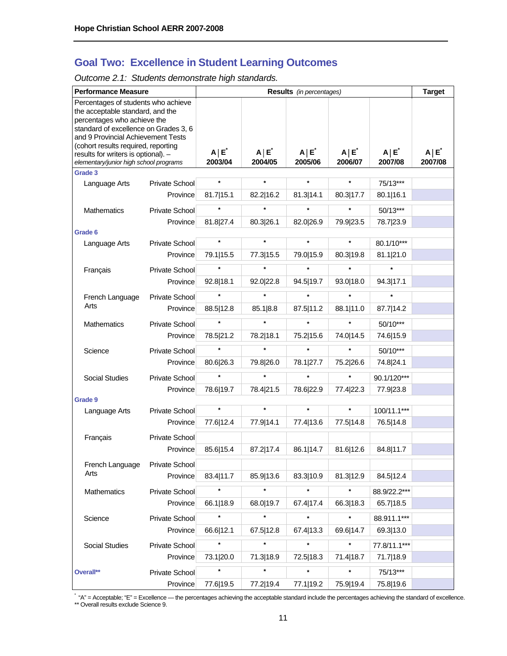# **Goal Two: Excellence in Student Learning Outcomes**

*Outcome 2.1: Students demonstrate high standards.* 

| <b>Performance Measure</b>                                                                                                                                                                                                   |                       |                         |                         | <b>Results</b> (in percentages) |                         |                         | <b>Target</b>         |
|------------------------------------------------------------------------------------------------------------------------------------------------------------------------------------------------------------------------------|-----------------------|-------------------------|-------------------------|---------------------------------|-------------------------|-------------------------|-----------------------|
| Percentages of students who achieve<br>the acceptable standard, and the<br>percentages who achieve the<br>standard of excellence on Grades 3, 6<br>and 9 Provincial Achievement Tests<br>(cohort results required, reporting |                       |                         |                         |                                 |                         |                         |                       |
| results for writers is optional). -<br>elementary/junior high school programs                                                                                                                                                |                       | $A \mid E^*$<br>2003/04 | $A \mid E^*$<br>2004/05 | $A \mid E^*$<br>2005/06         | $A \mid E^*$<br>2006/07 | $A \mid E^*$<br>2007/08 | $A \mid E$<br>2007/08 |
| Grade 3                                                                                                                                                                                                                      |                       |                         |                         |                                 |                         |                         |                       |
| Language Arts                                                                                                                                                                                                                | Private School        | $\star$                 | $\star$                 | $\star$                         | $\star$                 | 75/13***                |                       |
|                                                                                                                                                                                                                              | Province              | 81.7 15.1               | 82.2 16.2               | 81.3 14.1                       | 80.3 17.7               | 80.1 16.1               |                       |
| Mathematics                                                                                                                                                                                                                  | <b>Private School</b> |                         |                         |                                 |                         | 50/13***                |                       |
|                                                                                                                                                                                                                              | Province              | 81.8 27.4               | 80.3 26.1               | 82.0 26.9                       | 79.9 23.5               | 78.7 23.9               |                       |
| Grade 6                                                                                                                                                                                                                      |                       |                         |                         |                                 |                         |                         |                       |
| Language Arts                                                                                                                                                                                                                | Private School        | $\star$                 | $\star$                 | $\star$                         | $\star$                 | 80.1/10***              |                       |
|                                                                                                                                                                                                                              | Province              | 79.1 15.5               | 77.3 15.5               | 79.0 15.9                       | 80.3 19.8               | 81.1 21.0               |                       |
| Français                                                                                                                                                                                                                     | Private School        |                         |                         |                                 |                         |                         |                       |
|                                                                                                                                                                                                                              | Province              | 92.8 18.1               | 92.0 22.8               | 94.5 19.7                       | 93.0 18.0               | 94.3 17.1               |                       |
| French Language                                                                                                                                                                                                              | <b>Private School</b> | $\star$                 | $\star$                 | $\star$                         | $\star$                 | $\star$                 |                       |
| Arts                                                                                                                                                                                                                         | Province              | 88.5 12.8               | 85.1 8.8                | 87.5 11.2                       | 88.1 11.0               | 87.7   14.2             |                       |
| Mathematics                                                                                                                                                                                                                  | Private School        |                         | $\star$                 | $\star$                         | $\star$                 | 50/10***                |                       |
|                                                                                                                                                                                                                              | Province              | 78.5 21.2               | 78.2 18.1               | 75.2 15.6                       | 74.0 14.5               | 74.6 15.9               |                       |
| Science                                                                                                                                                                                                                      | Private School        |                         | $\star$                 | $\star$                         | $\star$                 | 50/10***                |                       |
|                                                                                                                                                                                                                              | Province              | 80.6 26.3               | 79.8 26.0               | 78.1 27.7                       | 75.2 26.6               | 74.8 24.1               |                       |
| <b>Social Studies</b>                                                                                                                                                                                                        | Private School        | $\star$                 | $\star$                 | $\star$                         | $\star$                 | 90.1/120***             |                       |
|                                                                                                                                                                                                                              | Province              | 78.6 19.7               | 78.4 21.5               | 78.6 22.9                       | 77.4 22.3               | 77.9 23.8               |                       |
| Grade 9                                                                                                                                                                                                                      |                       |                         |                         |                                 |                         |                         |                       |
| Language Arts                                                                                                                                                                                                                | Private School        | $\star$                 | $\star$                 | $\star$                         | $\star$                 | 100/11.1***             |                       |
|                                                                                                                                                                                                                              | Province              | 77.6 12.4               | 77.9 14.1               | 77.4 13.6                       | 77.5 14.8               | 76.5 14.8               |                       |
| Français                                                                                                                                                                                                                     | Private School        |                         |                         |                                 |                         |                         |                       |
|                                                                                                                                                                                                                              | Province              | 85.6 15.4               | 87.2 17.4               | 86.1 14.7                       | 81.6 12.6               | 84.8 11.7               |                       |
| French Language                                                                                                                                                                                                              | Private School        |                         |                         |                                 |                         |                         |                       |
| Arts                                                                                                                                                                                                                         | Province              | 83.4   11.7             | 85.9 13.6               | 83.3 10.9                       | 81.3 12.9               | 84.5 12.4               |                       |
| Mathematics                                                                                                                                                                                                                  | Private School        | $\star$                 | $\star$                 | $\star$                         | $\star$                 | 88.9/22.2***            |                       |
|                                                                                                                                                                                                                              | Province              | 66.1 18.9               | 68.0 19.7               | 67.4 17.4                       | 66.3 18.3               | 65.7 18.5               |                       |
| Science                                                                                                                                                                                                                      | Private School        |                         | $\star$                 | $\star$                         | $\star$                 | 88.911.1***             |                       |
|                                                                                                                                                                                                                              | Province              | 66.6 12.1               | 67.5 12.8               | 67.4 13.3                       | 69.6 14.7               | 69.3 13.0               |                       |
| Social Studies                                                                                                                                                                                                               | Private School        |                         | $\star$                 | $\star$                         | $\star$                 | 77.8/11.1***            |                       |
|                                                                                                                                                                                                                              | Province              | 73.1 20.0               | 71.3 18.9               | 72.5 18.3                       | 71.4   18.7             | 71.7 18.9               |                       |
| Overall**                                                                                                                                                                                                                    | Private School        |                         | $\star$                 | $\star$                         | $\star$                 | 75/13***                |                       |
|                                                                                                                                                                                                                              | Province              | 77.6 19.5               | 77.2 19.4               | 77.1 19.2                       | 75.9 19.4               | 75.8 19.6               |                       |

\* "A" = Acceptable; "E" = Excellence — the percentages achieving the acceptable standard include the percentages achieving the standard of excellence. \*\* Overall results exclude Science 9.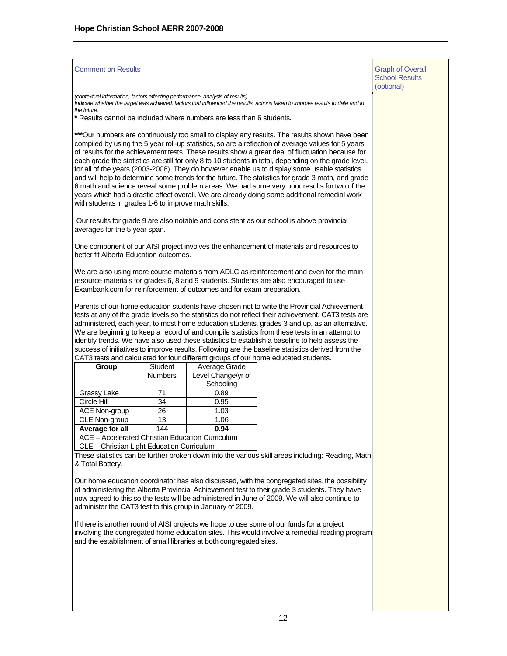| <b>Comment on Results</b>                                                                                                                                                                                                                                                                                                                                                                                                                                                                                                                                                                                                                                                                                 |                                                                                           |                                                                      |                                                                                                                                                                                                                                                                                                                                                                                                                                                                                                                                                                                                                                                                                                                                                                                                                      | <b>Graph of Overall</b><br><b>School Results</b><br>(optional) |
|-----------------------------------------------------------------------------------------------------------------------------------------------------------------------------------------------------------------------------------------------------------------------------------------------------------------------------------------------------------------------------------------------------------------------------------------------------------------------------------------------------------------------------------------------------------------------------------------------------------------------------------------------------------------------------------------------------------|-------------------------------------------------------------------------------------------|----------------------------------------------------------------------|----------------------------------------------------------------------------------------------------------------------------------------------------------------------------------------------------------------------------------------------------------------------------------------------------------------------------------------------------------------------------------------------------------------------------------------------------------------------------------------------------------------------------------------------------------------------------------------------------------------------------------------------------------------------------------------------------------------------------------------------------------------------------------------------------------------------|----------------------------------------------------------------|
| (contextual information, factors affecting performance, analysis of results).<br>the future.                                                                                                                                                                                                                                                                                                                                                                                                                                                                                                                                                                                                              |                                                                                           |                                                                      | Indicate whether the target was achieved, factors that influenced the results, actions taken to improve results to date and in                                                                                                                                                                                                                                                                                                                                                                                                                                                                                                                                                                                                                                                                                       |                                                                |
|                                                                                                                                                                                                                                                                                                                                                                                                                                                                                                                                                                                                                                                                                                           |                                                                                           | * Results cannot be included where numbers are less than 6 students. |                                                                                                                                                                                                                                                                                                                                                                                                                                                                                                                                                                                                                                                                                                                                                                                                                      |                                                                |
| with students in grades 1-6 to improve math skills.                                                                                                                                                                                                                                                                                                                                                                                                                                                                                                                                                                                                                                                       |                                                                                           |                                                                      | ***Our numbers are continuously too small to display any results. The results shown have been<br>compiled by using the 5 year roll-up statistics, so are a reflection of average values for 5 years<br>of results for the achievement tests. These results show a great deal of fluctuation because for<br>each grade the statistics are still for only 8 to 10 students in total, depending on the grade level,<br>for all of the years (2003-2008). They do however enable us to display some usable statistics<br>and will help to determine some trends for the future. The statistics for grade 3 math, and grade<br>6 math and science reveal some problem areas. We had some very poor results for two of the<br>years which had a drastic effect overall. We are already doing some additional remedial work |                                                                |
| averages for the 5 year span.                                                                                                                                                                                                                                                                                                                                                                                                                                                                                                                                                                                                                                                                             | Our results for grade 9 are also notable and consistent as our school is above provincial |                                                                      |                                                                                                                                                                                                                                                                                                                                                                                                                                                                                                                                                                                                                                                                                                                                                                                                                      |                                                                |
| One component of our AISI project involves the enhancement of materials and resources to<br>better fit Alberta Education outcomes.                                                                                                                                                                                                                                                                                                                                                                                                                                                                                                                                                                        |                                                                                           |                                                                      |                                                                                                                                                                                                                                                                                                                                                                                                                                                                                                                                                                                                                                                                                                                                                                                                                      |                                                                |
| We are also using more course materials from ADLC as reinforcement and even for the main<br>resource materials for grades 6, 8 and 9 students. Students are also encouraged to use<br>Exambank.com for reinforcement of outcomes and for exam preparation.                                                                                                                                                                                                                                                                                                                                                                                                                                                |                                                                                           |                                                                      |                                                                                                                                                                                                                                                                                                                                                                                                                                                                                                                                                                                                                                                                                                                                                                                                                      |                                                                |
| Parents of our home education students have chosen not to write the Provincial Achievement<br>tests at any of the grade levels so the statistics do not reflect their achievement. CAT3 tests are<br>administered, each year, to most home education students, grades 3 and up, as an alternative.<br>We are beginning to keep a record of and compile statistics from these tests in an attempt to<br>identify trends. We have also used these statistics to establish a baseline to help assess the<br>success of initiatives to improve results. Following are the baseline statistics derived from the<br>CAT3 tests and calculated for four different groups of our home educated students.<br>Group |                                                                                           |                                                                      |                                                                                                                                                                                                                                                                                                                                                                                                                                                                                                                                                                                                                                                                                                                                                                                                                      |                                                                |
|                                                                                                                                                                                                                                                                                                                                                                                                                                                                                                                                                                                                                                                                                                           | <b>Student</b><br><b>Numbers</b>                                                          | Average Grade<br>Level Change/yr of<br>Schooling                     |                                                                                                                                                                                                                                                                                                                                                                                                                                                                                                                                                                                                                                                                                                                                                                                                                      |                                                                |
| Grassy Lake                                                                                                                                                                                                                                                                                                                                                                                                                                                                                                                                                                                                                                                                                               | 71                                                                                        | 0.89                                                                 |                                                                                                                                                                                                                                                                                                                                                                                                                                                                                                                                                                                                                                                                                                                                                                                                                      |                                                                |
| Circle Hill                                                                                                                                                                                                                                                                                                                                                                                                                                                                                                                                                                                                                                                                                               | 34                                                                                        | 0.95                                                                 |                                                                                                                                                                                                                                                                                                                                                                                                                                                                                                                                                                                                                                                                                                                                                                                                                      |                                                                |
| <b>ACE Non-group</b>                                                                                                                                                                                                                                                                                                                                                                                                                                                                                                                                                                                                                                                                                      | 26                                                                                        | 1.03                                                                 |                                                                                                                                                                                                                                                                                                                                                                                                                                                                                                                                                                                                                                                                                                                                                                                                                      |                                                                |
| CLE Non-group                                                                                                                                                                                                                                                                                                                                                                                                                                                                                                                                                                                                                                                                                             | 13                                                                                        | 1.06                                                                 |                                                                                                                                                                                                                                                                                                                                                                                                                                                                                                                                                                                                                                                                                                                                                                                                                      |                                                                |
| Average for all                                                                                                                                                                                                                                                                                                                                                                                                                                                                                                                                                                                                                                                                                           | 144                                                                                       | 0.94                                                                 |                                                                                                                                                                                                                                                                                                                                                                                                                                                                                                                                                                                                                                                                                                                                                                                                                      |                                                                |
| ACE - Accelerated Christian Education Curriculum<br>CLE - Christian Light Education Curriculum                                                                                                                                                                                                                                                                                                                                                                                                                                                                                                                                                                                                            |                                                                                           |                                                                      |                                                                                                                                                                                                                                                                                                                                                                                                                                                                                                                                                                                                                                                                                                                                                                                                                      |                                                                |
| & Total Battery.                                                                                                                                                                                                                                                                                                                                                                                                                                                                                                                                                                                                                                                                                          |                                                                                           |                                                                      | These statistics can be further broken down into the various skill areas including: Reading, Math                                                                                                                                                                                                                                                                                                                                                                                                                                                                                                                                                                                                                                                                                                                    |                                                                |
|                                                                                                                                                                                                                                                                                                                                                                                                                                                                                                                                                                                                                                                                                                           |                                                                                           | administer the CAT3 test to this group in January of 2009.           | Our home education coordinator has also discussed, with the congregated sites, the possibility<br>of administering the Alberta Provincial Achievement test to their grade 3 students. They have<br>now agreed to this so the tests will be administered in June of 2009. We will also continue to                                                                                                                                                                                                                                                                                                                                                                                                                                                                                                                    |                                                                |
|                                                                                                                                                                                                                                                                                                                                                                                                                                                                                                                                                                                                                                                                                                           |                                                                                           | and the establishment of small libraries at both congregated sites.  | If there is another round of AISI projects we hope to use some of our funds for a project<br>involving the congregated home education sites. This would involve a remedial reading program                                                                                                                                                                                                                                                                                                                                                                                                                                                                                                                                                                                                                           |                                                                |
|                                                                                                                                                                                                                                                                                                                                                                                                                                                                                                                                                                                                                                                                                                           |                                                                                           |                                                                      |                                                                                                                                                                                                                                                                                                                                                                                                                                                                                                                                                                                                                                                                                                                                                                                                                      |                                                                |
|                                                                                                                                                                                                                                                                                                                                                                                                                                                                                                                                                                                                                                                                                                           |                                                                                           |                                                                      |                                                                                                                                                                                                                                                                                                                                                                                                                                                                                                                                                                                                                                                                                                                                                                                                                      |                                                                |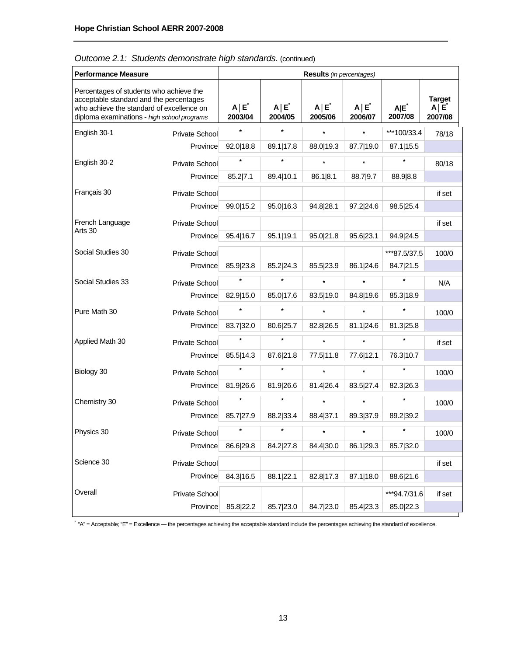| <b>Performance Measure</b>                                                                                                                                                     |                       |                       |                       | <b>Results</b> (in percentages) |                       |                             |                                        |
|--------------------------------------------------------------------------------------------------------------------------------------------------------------------------------|-----------------------|-----------------------|-----------------------|---------------------------------|-----------------------|-----------------------------|----------------------------------------|
| Percentages of students who achieve the<br>acceptable standard and the percentages<br>who achieve the standard of excellence on<br>diploma examinations - high school programs |                       | $A \mid E$<br>2003/04 | $A \mid E$<br>2004/05 | $A \mid E$<br>2005/06           | $A \mid E$<br>2006/07 | A E <sup>*</sup><br>2007/08 | <b>Target</b><br>$A \mid E$<br>2007/08 |
| English 30-1                                                                                                                                                                   | <b>Private School</b> | $\star$               | $\star$               | $\star$                         | $\star$               | ***100/33.4                 | 78/18                                  |
|                                                                                                                                                                                | Province              | 92.0 18.8             | 89.1 17.8             | 88.0   19.3                     | 87.7 19.0             | 87.1 15.5                   |                                        |
| English 30-2                                                                                                                                                                   | <b>Private School</b> |                       | $\star$               | $\star$                         |                       | $\star$                     | 80/18                                  |
|                                                                                                                                                                                | Province              | 85.2 7.1              | 89.4 10.1             | 86.1 8.1                        | 88.7 9.7              | 88.9 8.8                    |                                        |
| Français 30                                                                                                                                                                    | <b>Private School</b> |                       |                       |                                 |                       |                             | if set                                 |
|                                                                                                                                                                                | Province              | 99.0 15.2             | 95.0 16.3             | 94.8 28.1                       | 97.2 24.6             | 98.5 25.4                   |                                        |
| French Language                                                                                                                                                                | <b>Private School</b> |                       |                       |                                 |                       |                             | if set                                 |
| Arts 30                                                                                                                                                                        | Province              | 95.4 16.7             | 95.1 19.1             | 95.0 21.8                       | 95.6 23.1             | 94.9 24.5                   |                                        |
| Social Studies 30                                                                                                                                                              | Private School        |                       |                       |                                 |                       | ***87.5/37.5                | 100/0                                  |
|                                                                                                                                                                                | Province              | 85.9 23.8             | 85.2 24.3             | 85.5 23.9                       | 86.1 24.6             | 84.7 21.5                   |                                        |
| Social Studies 33                                                                                                                                                              | Private School        | $\star$               | $\star$               | $\star$                         |                       | $\star$                     | N/A                                    |
|                                                                                                                                                                                | Province              | 82.9 15.0             | 85.0 17.6             | 83.5 19.0                       | 84.8 19.6             | 85.3 18.9                   |                                        |
| Pure Math 30                                                                                                                                                                   | Private School        | $\star$               | $\star$               | $\star$                         |                       | $\star$                     | 100/0                                  |
|                                                                                                                                                                                | Province              | 83.7 32.0             | 80.6 25.7             | 82.8 26.5                       | 81.1 24.6             | 81.3 25.8                   |                                        |
| Applied Math 30                                                                                                                                                                | Private School        | $\star$               | $\star$               | $\star$                         | $\star$               | $\star$                     | if set                                 |
|                                                                                                                                                                                | Province              | 85.5 14.3             | 87.6 21.8             | 77.5   11.8                     | 77.6 12.1             | 76.3 10.7                   |                                        |
| Biology 30                                                                                                                                                                     | <b>Private School</b> | $\star$               | $\star$               | $\star$                         | $\star$               | $\star$                     | 100/0                                  |
|                                                                                                                                                                                | Province              | 81.9 26.6             | 81.9 26.6             | 81.4 26.4                       | 83.5 27.4             | 82.3 26.3                   |                                        |
| Chemistry 30                                                                                                                                                                   | <b>Private School</b> | $\star$               | $\star$               | $\star$                         | $\star$               | $\star$                     | 100/0                                  |
|                                                                                                                                                                                | Province              | 85.7 27.9             | 88.2 33.4             | 88.4 37.1                       | 89.3 37.9             | 89.2 39.2                   |                                        |
| Physics 30                                                                                                                                                                     | Private School        | $\star$               | $\star$               | $\star$                         | $\star$               | $\star$                     | 100/0                                  |
|                                                                                                                                                                                | Province              | 86.6 29.8             | 84.2 27.8             | 84.4 30.0                       | 86.1 29.3             | 85.7 32.0                   |                                        |
| Science 30                                                                                                                                                                     | Private School        |                       |                       |                                 |                       |                             | if set                                 |
|                                                                                                                                                                                | Province              | 84.3 16.5             | 88.1 22.1             | 82.8 17.3                       | 87.1 18.0             | 88.6 21.6                   |                                        |
| Overall                                                                                                                                                                        | Private School        |                       |                       |                                 |                       | ***94.7/31.6                | if set                                 |
|                                                                                                                                                                                | Province              | 85.8 22.2             | 85.7 23.0             | 84.7 23.0                       | 85.4 23.3             | 85.0 22.3                   |                                        |

*Outcome 2.1: Students demonstrate high standards.* (continued)

\* "A" = Acceptable; "E" = Excellence — the percentages achieving the acceptable standard include the percentages achieving the standard of excellence.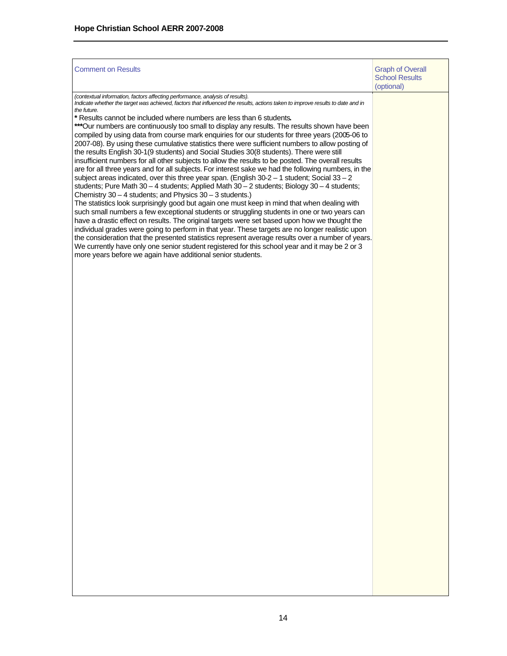| <b>Comment on Results</b>                                                                                                                                                                                                                                                                                                                                                                                                                                                                                                                                                                                                                                                                                                                                                                                                                                                                                                                                                                                                                                                                                                                                                                                                                                                                                                                                                                                                                                                                                                                                                                                                                                                                                                                                                                                                                                               | <b>Graph of Overall</b><br><b>School Results</b><br>(optional) |
|-------------------------------------------------------------------------------------------------------------------------------------------------------------------------------------------------------------------------------------------------------------------------------------------------------------------------------------------------------------------------------------------------------------------------------------------------------------------------------------------------------------------------------------------------------------------------------------------------------------------------------------------------------------------------------------------------------------------------------------------------------------------------------------------------------------------------------------------------------------------------------------------------------------------------------------------------------------------------------------------------------------------------------------------------------------------------------------------------------------------------------------------------------------------------------------------------------------------------------------------------------------------------------------------------------------------------------------------------------------------------------------------------------------------------------------------------------------------------------------------------------------------------------------------------------------------------------------------------------------------------------------------------------------------------------------------------------------------------------------------------------------------------------------------------------------------------------------------------------------------------|----------------------------------------------------------------|
| (contextual information, factors affecting performance, analysis of results).<br>Indicate whether the target was achieved, factors that influenced the results, actions taken to improve results to date and in<br>the future.<br>* Results cannot be included where numbers are less than 6 students.<br>***Our numbers are continuously too small to display any results. The results shown have been<br>compiled by using data from course mark enquiries for our students for three years (2005-06 to<br>2007-08). By using these cumulative statistics there were sufficient numbers to allow posting of<br>the results English 30-1(9 students) and Social Studies 30(8 students). There were still<br>insufficient numbers for all other subjects to allow the results to be posted. The overall results<br>are for all three years and for all subjects. For interest sake we had the following numbers, in the<br>subject areas indicated, over this three year span. (English 30-2 - 1 student; Social 33 - 2<br>students; Pure Math $30 - 4$ students; Applied Math $30 - 2$ students; Biology $30 - 4$ students;<br>Chemistry $30 - 4$ students; and Physics $30 - 3$ students.)<br>The statistics look surprisingly good but again one must keep in mind that when dealing with<br>such small numbers a few exceptional students or struggling students in one or two years can<br>have a drastic effect on results. The original targets were set based upon how we thought the<br>individual grades were going to perform in that year. These targets are no longer realistic upon<br>the consideration that the presented statistics represent average results over a number of years.<br>We currently have only one senior student registered for this school year and it may be 2 or 3<br>more years before we again have additional senior students. |                                                                |
|                                                                                                                                                                                                                                                                                                                                                                                                                                                                                                                                                                                                                                                                                                                                                                                                                                                                                                                                                                                                                                                                                                                                                                                                                                                                                                                                                                                                                                                                                                                                                                                                                                                                                                                                                                                                                                                                         |                                                                |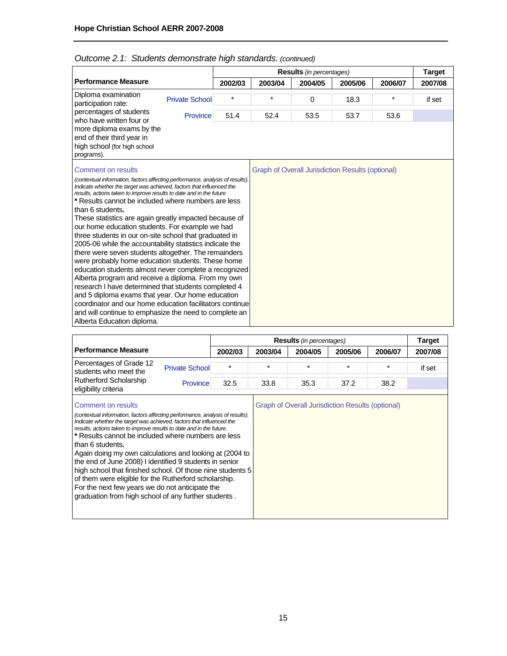|                                                                                                                                                                                                                                                                                                                                                                                                                                                                                                                                                                                                                                                                                                                                                                                                                                                                                                                                                                                                                                           |                       |         |         | <b>Results</b> (in percentages)                         |         |         | <b>Target</b> |
|-------------------------------------------------------------------------------------------------------------------------------------------------------------------------------------------------------------------------------------------------------------------------------------------------------------------------------------------------------------------------------------------------------------------------------------------------------------------------------------------------------------------------------------------------------------------------------------------------------------------------------------------------------------------------------------------------------------------------------------------------------------------------------------------------------------------------------------------------------------------------------------------------------------------------------------------------------------------------------------------------------------------------------------------|-----------------------|---------|---------|---------------------------------------------------------|---------|---------|---------------|
| <b>Performance Measure</b>                                                                                                                                                                                                                                                                                                                                                                                                                                                                                                                                                                                                                                                                                                                                                                                                                                                                                                                                                                                                                |                       | 2002/03 | 2003/04 | 2004/05                                                 | 2005/06 | 2006/07 | 2007/08       |
| Diploma examination<br>participation rate:                                                                                                                                                                                                                                                                                                                                                                                                                                                                                                                                                                                                                                                                                                                                                                                                                                                                                                                                                                                                | <b>Private School</b> | $\star$ | $\star$ | 0                                                       | 18.3    | $\star$ | if set        |
| percentages of students<br>who have written four or                                                                                                                                                                                                                                                                                                                                                                                                                                                                                                                                                                                                                                                                                                                                                                                                                                                                                                                                                                                       | Province              | 51.4    | 52.4    | 53.5                                                    | 53.7    | 53.6    |               |
| more diploma exams by the<br>end of their third year in<br>high school (for high school<br>programs).                                                                                                                                                                                                                                                                                                                                                                                                                                                                                                                                                                                                                                                                                                                                                                                                                                                                                                                                     |                       |         |         |                                                         |         |         |               |
| <b>Comment on results</b>                                                                                                                                                                                                                                                                                                                                                                                                                                                                                                                                                                                                                                                                                                                                                                                                                                                                                                                                                                                                                 |                       |         |         | <b>Graph of Overall Jurisdiction Results (optional)</b> |         |         |               |
| (contextual information, factors affecting performance, analysis of results).<br>Indicate whether the target was achieved, factors that influenced the<br>results, actions taken to improve results to date and in the future.<br>* Results cannot be included where numbers are less<br>than 6 students.<br>These statistics are again greatly impacted because of<br>our home education students. For example we had<br>three students in our on-site school that graduated in<br>2005-06 while the accountability statistics indicate the<br>there were seven students altogether. The remainders<br>were probably home education students. These home<br>education students almost never complete a recognized<br>Alberta program and receive a diploma. From my own<br>research I have determined that students completed 4<br>and 5 diploma exams that year. Our home education<br>coordinator and our home education facilitators continue<br>and will continue to emphasize the need to complete an<br>Alberta Education diploma. |                       |         |         |                                                         |         |         |               |

# *Outcome 2.1: Students demonstrate high standards. (continued)*

|                                                                                                                                                                                                                                                                                                                                                                                                                                                                                                                                                                                                                                                                                         |                       |         | <b>Target</b> |                                                  |         |         |         |
|-----------------------------------------------------------------------------------------------------------------------------------------------------------------------------------------------------------------------------------------------------------------------------------------------------------------------------------------------------------------------------------------------------------------------------------------------------------------------------------------------------------------------------------------------------------------------------------------------------------------------------------------------------------------------------------------|-----------------------|---------|---------------|--------------------------------------------------|---------|---------|---------|
| <b>Performance Measure</b>                                                                                                                                                                                                                                                                                                                                                                                                                                                                                                                                                                                                                                                              |                       | 2002/03 | 2003/04       | 2004/05                                          | 2005/06 | 2006/07 | 2007/08 |
| Percentages of Grade 12<br>students who meet the                                                                                                                                                                                                                                                                                                                                                                                                                                                                                                                                                                                                                                        | <b>Private School</b> | $\star$ | $\star$       | $\star$                                          | $\star$ | $\star$ | if set  |
| <b>Rutherford Scholarship</b><br>eligibility criteria                                                                                                                                                                                                                                                                                                                                                                                                                                                                                                                                                                                                                                   | Province              | 32.5    | 33.8          | 35.3                                             | 37.2    | 38.2    |         |
| Comment on results<br>(contextual information, factors affecting performance, analysis of results).<br>Indicate whether the target was achieved, factors that influenced the<br>results, actions taken to improve results to date and in the future.<br>* Results cannot be included where numbers are less<br>than 6 students.<br>Again doing my own calculations and looking at (2004 to<br>the end of June 2008) I identified 9 students in senior<br>high school that finished school. Of those nine students 5<br>of them were eligible for the Rutherford scholarship.<br>For the next few years we do not anticipate the<br>graduation from high school of any further students. |                       |         |               | Graph of Overall Jurisdiction Results (optional) |         |         |         |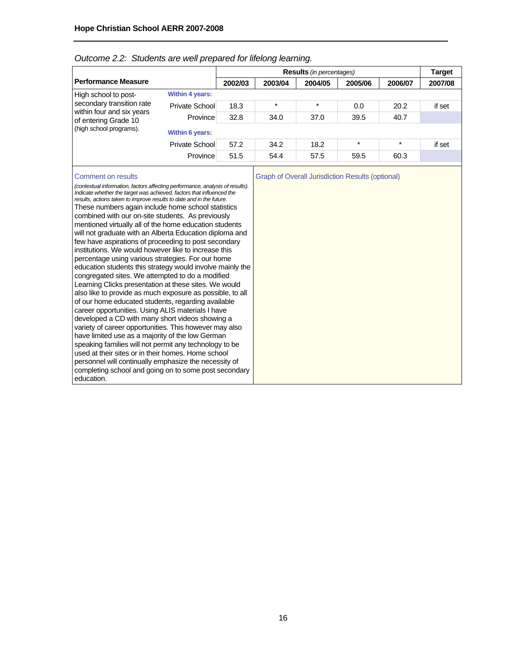|                                                   |                        |         |         | <b>Results</b> (in percentages) |         |         | Target  |
|---------------------------------------------------|------------------------|---------|---------|---------------------------------|---------|---------|---------|
| Performance Measure                               |                        | 2002/03 | 2003/04 | 2004/05                         | 2005/06 | 2006/07 | 2007/08 |
| High school to post-                              | <b>Within 4 years:</b> |         |         |                                 |         |         |         |
| secondary transition rate                         | Private School         | 18.3    | $\star$ | $\star$                         | 0.0     | 20.2    | if set  |
| within four and six years<br>of entering Grade 10 | Province               | 32.8    | 34.0    | 37.0                            | 39.5    | 40.7    |         |
| (high school programs).                           | <b>Within 6 years:</b> |         |         |                                 |         |         |         |
|                                                   | Private School         | 57.2    | 34.2    | 18.2                            | $\star$ | $\star$ | if set  |
|                                                   | Province               | 51.5    | 54.4    | 57.5                            | 59.5    | 60.3    |         |
|                                                   |                        |         |         |                                 |         |         |         |

#### *Outcome 2.2: Students are well prepared for lifelong learning.*

*(contextual information, factors affecting performance, analysis of results). Indicate whether the target was achieved, factors that influenced the results, actions taken to improve results to date and in the future.* These numbers again include home school statistics combined with our on-site students. As previously mentioned virtually all of the home education students will not graduate with an Alberta Education diploma and few have aspirations of proceeding to post secondary institutions. We would however like to increase this percentage using various strategies. For our home education students this strategy would involve mainly the congregated sites. We attempted to do a modified Learning Clicks presentation at these sites. We would also like to provide as much exposure as possible, to all of our home educated students, regarding available career opportunities. Using ALIS materials I have developed a CD with many short videos showing a variety of career opportunities. This however may also have limited use as a majority of the low German speaking families will not permit any technology to be used at their sites or in their homes. Home school personnel will continually emphasize the necessity of completing school and going on to some post secondary education.

Comment on results **Comment on results** Graph of Overall Jurisdiction Results (optional)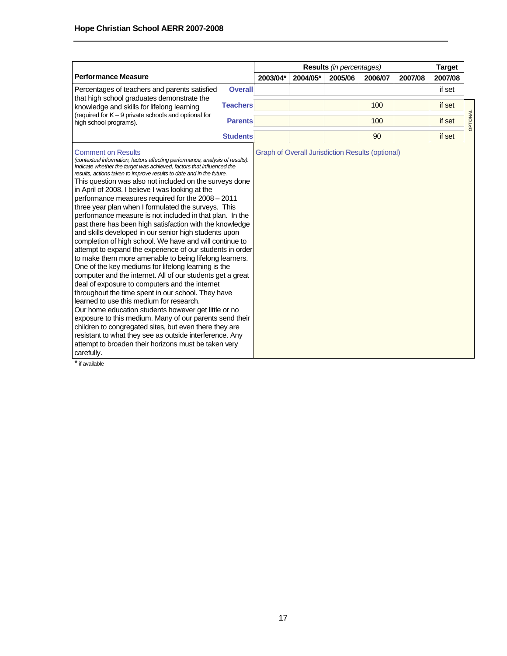|                                                                                                                                                                                                                                                                                                                                                                                                                                                                                                                                                                                                                                                                                                                                                                                                                                                                                                                                                                                                                                                                                                                                                                                                                                                                                                                                                                                                                                                  |                 |          |                                                         | <b>Results</b> (in percentages) |         |         | <b>Target</b> |          |
|--------------------------------------------------------------------------------------------------------------------------------------------------------------------------------------------------------------------------------------------------------------------------------------------------------------------------------------------------------------------------------------------------------------------------------------------------------------------------------------------------------------------------------------------------------------------------------------------------------------------------------------------------------------------------------------------------------------------------------------------------------------------------------------------------------------------------------------------------------------------------------------------------------------------------------------------------------------------------------------------------------------------------------------------------------------------------------------------------------------------------------------------------------------------------------------------------------------------------------------------------------------------------------------------------------------------------------------------------------------------------------------------------------------------------------------------------|-----------------|----------|---------------------------------------------------------|---------------------------------|---------|---------|---------------|----------|
| <b>Performance Measure</b>                                                                                                                                                                                                                                                                                                                                                                                                                                                                                                                                                                                                                                                                                                                                                                                                                                                                                                                                                                                                                                                                                                                                                                                                                                                                                                                                                                                                                       |                 | 2003/04* | 2004/05*                                                | 2005/06                         | 2006/07 | 2007/08 | 2007/08       |          |
| Percentages of teachers and parents satisfied<br>that high school graduates demonstrate the                                                                                                                                                                                                                                                                                                                                                                                                                                                                                                                                                                                                                                                                                                                                                                                                                                                                                                                                                                                                                                                                                                                                                                                                                                                                                                                                                      | <b>Overall</b>  |          |                                                         |                                 |         |         | if set        |          |
| knowledge and skills for lifelong learning                                                                                                                                                                                                                                                                                                                                                                                                                                                                                                                                                                                                                                                                                                                                                                                                                                                                                                                                                                                                                                                                                                                                                                                                                                                                                                                                                                                                       | <b>Teachers</b> |          |                                                         |                                 | 100     |         | if set        |          |
| (required for $K - 9$ private schools and optional for<br>high school programs).                                                                                                                                                                                                                                                                                                                                                                                                                                                                                                                                                                                                                                                                                                                                                                                                                                                                                                                                                                                                                                                                                                                                                                                                                                                                                                                                                                 | <b>Parents</b>  |          |                                                         |                                 | 100     |         | if set        | OPTIONAL |
|                                                                                                                                                                                                                                                                                                                                                                                                                                                                                                                                                                                                                                                                                                                                                                                                                                                                                                                                                                                                                                                                                                                                                                                                                                                                                                                                                                                                                                                  | <b>Students</b> |          |                                                         |                                 | 90      |         | if set        |          |
| <b>Comment on Results</b><br>(contextual information, factors affecting performance, analysis of results).<br>Indicate whether the target was achieved, factors that influenced the<br>results, actions taken to improve results to date and in the future.<br>This question was also not included on the surveys done<br>in April of 2008. I believe I was looking at the<br>performance measures required for the 2008 - 2011<br>three year plan when I formulated the surveys. This<br>performance measure is not included in that plan. In the<br>past there has been high satisfaction with the knowledge<br>and skills developed in our senior high students upon<br>completion of high school. We have and will continue to<br>attempt to expand the experience of our students in order<br>to make them more amenable to being lifelong learners.<br>One of the key mediums for lifelong learning is the<br>computer and the internet. All of our students get a great<br>deal of exposure to computers and the internet<br>throughout the time spent in our school. They have<br>learned to use this medium for research.<br>Our home education students however get little or no<br>exposure to this medium. Many of our parents send their<br>children to congregated sites, but even there they are<br>resistant to what they see as outside interference. Any<br>attempt to broaden their horizons must be taken very<br>carefully. |                 |          | <b>Graph of Overall Jurisdiction Results (optional)</b> |                                 |         |         |               |          |

\* if available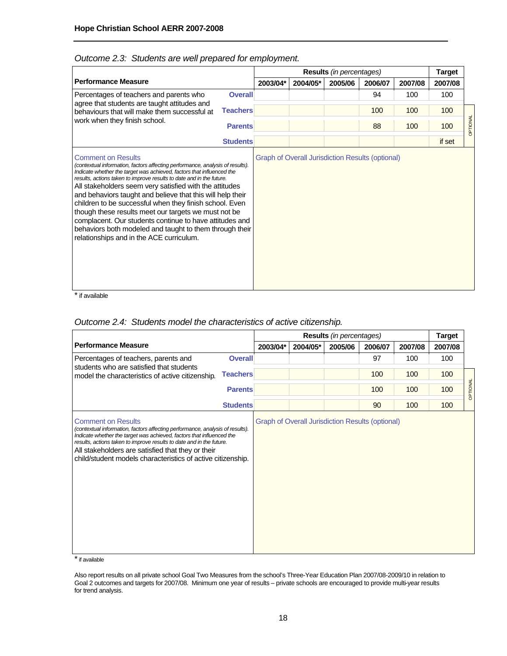|                                                                                                                                                                                                                                                                                                                                                                                                                                                                                                                                                                                                                                                                           |                 |          |                                                         | <b>Results</b> (in percentages) |         |         | <b>Target</b> |          |
|---------------------------------------------------------------------------------------------------------------------------------------------------------------------------------------------------------------------------------------------------------------------------------------------------------------------------------------------------------------------------------------------------------------------------------------------------------------------------------------------------------------------------------------------------------------------------------------------------------------------------------------------------------------------------|-----------------|----------|---------------------------------------------------------|---------------------------------|---------|---------|---------------|----------|
| <b>Performance Measure</b>                                                                                                                                                                                                                                                                                                                                                                                                                                                                                                                                                                                                                                                | 2003/04*        | 2004/05* | 2005/06                                                 | 2006/07                         | 2007/08 | 2007/08 |               |          |
| Percentages of teachers and parents who<br><b>Overall</b>                                                                                                                                                                                                                                                                                                                                                                                                                                                                                                                                                                                                                 |                 |          |                                                         |                                 | 94      | 100     | 100           |          |
| agree that students are taught attitudes and<br>behaviours that will make them successful at<br>work when they finish school.                                                                                                                                                                                                                                                                                                                                                                                                                                                                                                                                             | <b>Teachers</b> |          |                                                         |                                 | 100     | 100     | 100           |          |
|                                                                                                                                                                                                                                                                                                                                                                                                                                                                                                                                                                                                                                                                           | <b>Parents</b>  |          |                                                         |                                 | 88      | 100     | 100           | OPTIONAL |
|                                                                                                                                                                                                                                                                                                                                                                                                                                                                                                                                                                                                                                                                           | <b>Students</b> |          |                                                         |                                 |         |         | if set        |          |
| <b>Comment on Results</b><br>(contextual information, factors affecting performance, analysis of results).<br>Indicate whether the target was achieved, factors that influenced the<br>results, actions taken to improve results to date and in the future.<br>All stakeholders seem very satisfied with the attitudes<br>and behaviors taught and believe that this will help their<br>children to be successful when they finish school. Even<br>though these results meet our targets we must not be<br>complacent. Our students continue to have attitudes and<br>behaviors both modeled and taught to them through their<br>relationships and in the ACE curriculum. |                 |          | <b>Graph of Overall Jurisdiction Results (optional)</b> |                                 |         |         |               |          |

## *Outcome 2.3: Students are well prepared for employment.*

\* if available

### *Outcome 2.4: Students model the characteristics of active citizenship.*

|                                                                                                                                                                                                                                                                                                                                                                                 |                 | Results (in percentages)                                |         |         |         |         |          |
|---------------------------------------------------------------------------------------------------------------------------------------------------------------------------------------------------------------------------------------------------------------------------------------------------------------------------------------------------------------------------------|-----------------|---------------------------------------------------------|---------|---------|---------|---------|----------|
| <b>Performance Measure</b>                                                                                                                                                                                                                                                                                                                                                      | 2003/04*        | 2004/05*                                                | 2005/06 | 2006/07 | 2007/08 | 2007/08 |          |
| Percentages of teachers, parents and<br>students who are satisfied that students                                                                                                                                                                                                                                                                                                | <b>Overall</b>  |                                                         |         | 97      | 100     | 100     |          |
| model the characteristics of active citizenship.                                                                                                                                                                                                                                                                                                                                | <b>Teachers</b> |                                                         |         | 100     | 100     | 100     |          |
|                                                                                                                                                                                                                                                                                                                                                                                 | <b>Parents</b>  |                                                         |         | 100     | 100     | 100     | OPTIONAL |
|                                                                                                                                                                                                                                                                                                                                                                                 | <b>Students</b> |                                                         |         | 90      | 100     | 100     |          |
| <b>Comment on Results</b><br>(contextual information, factors affecting performance, analysis of results).<br>Indicate whether the target was achieved, factors that influenced the<br>results, actions taken to improve results to date and in the future.<br>All stakeholders are satisfied that they or their<br>child/student models characteristics of active citizenship. |                 | <b>Graph of Overall Jurisdiction Results (optional)</b> |         |         |         |         |          |

\* if available

Also report results on all private school Goal Two Measures from the school's Three-Year Education Plan 2007/08-2009/10 in relation to Goal 2 outcomes and targets for 2007/08. Minimum one year of results – private schools are encouraged to provide multi-year results for trend analysis.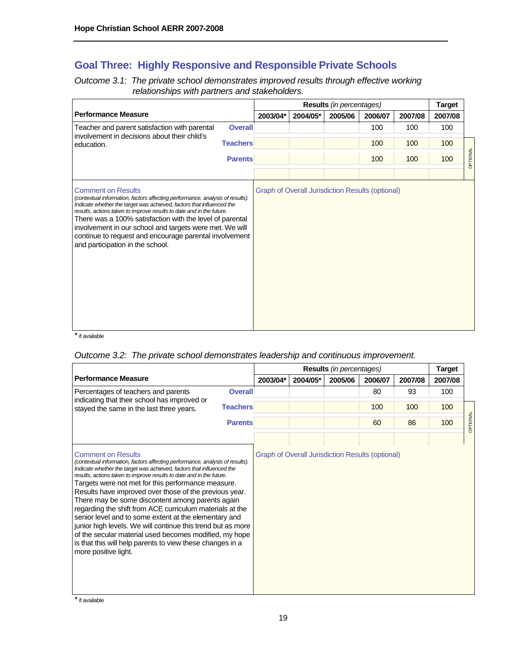# **Goal Three: Highly Responsive and Responsible Private Schools**

*Outcome 3.1: The private school demonstrates improved results through effective working relationships with partners and stakeholders.* 

|                                                                                                                                                                                                                                                                                                                                                                                                                                                                                  |                 | Results (in percentages) |                                                         |         |         |         |         |          |
|----------------------------------------------------------------------------------------------------------------------------------------------------------------------------------------------------------------------------------------------------------------------------------------------------------------------------------------------------------------------------------------------------------------------------------------------------------------------------------|-----------------|--------------------------|---------------------------------------------------------|---------|---------|---------|---------|----------|
| <b>Performance Measure</b>                                                                                                                                                                                                                                                                                                                                                                                                                                                       |                 | 2003/04*                 | 2004/05*                                                | 2005/06 | 2006/07 | 2007/08 | 2007/08 |          |
| Teacher and parent satisfaction with parental<br>involvement in decisions about their child's                                                                                                                                                                                                                                                                                                                                                                                    | <b>Overall</b>  |                          |                                                         |         | 100     | 100     | 100     |          |
| education.                                                                                                                                                                                                                                                                                                                                                                                                                                                                       | <b>Teachers</b> |                          |                                                         |         | 100     | 100     | 100     |          |
|                                                                                                                                                                                                                                                                                                                                                                                                                                                                                  | <b>Parents</b>  |                          |                                                         |         | 100     | 100     | 100     | OPTIONAL |
| <b>Comment on Results</b><br>(contextual information, factors affecting performance, analysis of results).<br>Indicate whether the target was achieved, factors that influenced the<br>results, actions taken to improve results to date and in the future.<br>There was a 100% satisfaction with the level of parental<br>involvement in our school and targets were met. We will<br>continue to request and encourage parental involvement<br>and participation in the school. |                 |                          | <b>Graph of Overall Jurisdiction Results (optional)</b> |         |         |         |         |          |

 $\overline{\phantom{a}}$  if available

# *Outcome 3.2: The private school demonstrates leadership and continuous improvement.*

|                                                                                                                                                                                                                                                                                                                                                                                                                                                                                                                                                                                                                                                                                                                                                                    |                 |          | <b>Target</b>                                           |         |         |         |         |          |
|--------------------------------------------------------------------------------------------------------------------------------------------------------------------------------------------------------------------------------------------------------------------------------------------------------------------------------------------------------------------------------------------------------------------------------------------------------------------------------------------------------------------------------------------------------------------------------------------------------------------------------------------------------------------------------------------------------------------------------------------------------------------|-----------------|----------|---------------------------------------------------------|---------|---------|---------|---------|----------|
| <b>Performance Measure</b>                                                                                                                                                                                                                                                                                                                                                                                                                                                                                                                                                                                                                                                                                                                                         |                 | 2003/04* | 2004/05*                                                | 2005/06 | 2006/07 | 2007/08 | 2007/08 |          |
| Percentages of teachers and parents                                                                                                                                                                                                                                                                                                                                                                                                                                                                                                                                                                                                                                                                                                                                | <b>Overall</b>  |          |                                                         |         | 80      | 93      | 100     |          |
| indicating that their school has improved or<br>stayed the same in the last three years.                                                                                                                                                                                                                                                                                                                                                                                                                                                                                                                                                                                                                                                                           | <b>Teachers</b> |          |                                                         |         | 100     | 100     | 100     |          |
|                                                                                                                                                                                                                                                                                                                                                                                                                                                                                                                                                                                                                                                                                                                                                                    | <b>Parents</b>  |          |                                                         |         | 60      | 86      | 100     | OPTIONAL |
| <b>Comment on Results</b><br>(contextual information, factors affecting performance, analysis of results).<br>Indicate whether the target was achieved, factors that influenced the<br>results, actions taken to improve results to date and in the future.<br>Targets were not met for this performance measure.<br>Results have improved over those of the previous year.<br>There may be some discontent among parents again<br>regarding the shift from ACE curriculum materials at the<br>senior level and to some extent at the elementary and<br>junior high levels. We will continue this trend but as more<br>of the secular material used becomes modified, my hope<br>is that this will help parents to view these changes in a<br>more positive light. |                 |          | <b>Graph of Overall Jurisdiction Results (optional)</b> |         |         |         |         |          |

\* if available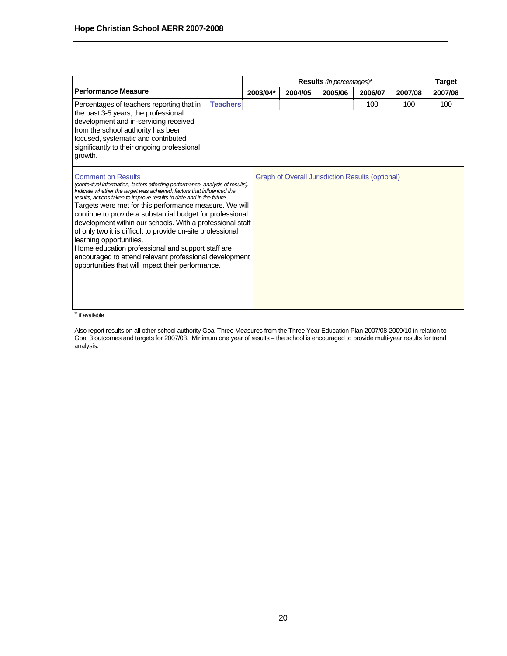|                                                                                                                                                                                                                                                                                                                                                                                                                                                                                                                                                                                                                                                                                                               |          | Results (in percentages)* |                                                         |         |         |         |  |
|---------------------------------------------------------------------------------------------------------------------------------------------------------------------------------------------------------------------------------------------------------------------------------------------------------------------------------------------------------------------------------------------------------------------------------------------------------------------------------------------------------------------------------------------------------------------------------------------------------------------------------------------------------------------------------------------------------------|----------|---------------------------|---------------------------------------------------------|---------|---------|---------|--|
| <b>Performance Measure</b>                                                                                                                                                                                                                                                                                                                                                                                                                                                                                                                                                                                                                                                                                    | 2003/04* | 2004/05                   | 2005/06                                                 | 2006/07 | 2007/08 | 2007/08 |  |
| <b>Teachers</b><br>Percentages of teachers reporting that in<br>the past 3-5 years, the professional<br>development and in-servicing received<br>from the school authority has been<br>focused, systematic and contributed<br>significantly to their ongoing professional<br>growth.                                                                                                                                                                                                                                                                                                                                                                                                                          |          |                           |                                                         | 100     | 100     | 100     |  |
| <b>Comment on Results</b><br>(contextual information, factors affecting performance, analysis of results).<br>Indicate whether the target was achieved, factors that influenced the<br>results, actions taken to improve results to date and in the future.<br>Targets were met for this performance measure. We will<br>continue to provide a substantial budget for professional<br>development within our schools. With a professional staff<br>of only two it is difficult to provide on-site professional<br>learning opportunities.<br>Home education professional and support staff are<br>encouraged to attend relevant professional development<br>opportunities that will impact their performance. |          |                           | <b>Graph of Overall Jurisdiction Results (optional)</b> |         |         |         |  |

\* if available

Also report results on all other school authority Goal Three Measures from the Three-Year Education Plan 2007/08-2009/10 in relation to Goal 3 outcomes and targets for 2007/08. Minimum one year of results – the school is encouraged to provide multi-year results for trend analysis.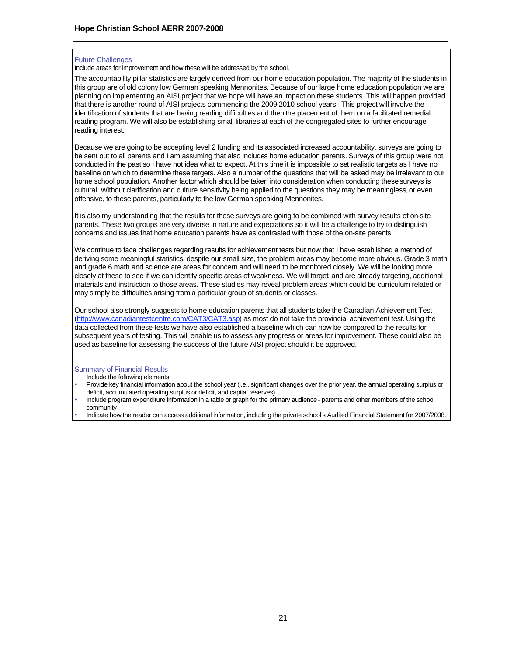#### Future Challenges

Include areas for improvement and how these will be addressed by the school.

The accountability pillar statistics are largely derived from our home education population. The majority of the students in this group are of old colony low German speaking Mennonites. Because of our large home education population we are planning on implementing an AISI project that we hope will have an impact on these students. This will happen provided that there is another round of AISI projects commencing the 2009-2010 school years. This project will involve the identification of students that are having reading difficulties and then the placement of them on a facilitated remedial reading program. We will also be establishing small libraries at each of the congregated sites to further encourage reading interest.

Because we are going to be accepting level 2 funding and its associated increased accountability, surveys are going to be sent out to all parents and I am assuming that also includes home education parents. Surveys of this group were not conducted in the past so I have not idea what to expect. At this time it is impossible to set realistic targets as I have no baseline on which to determine these targets. Also a number of the questions that will be asked may be irrelevant to our home school population. Another factor which should be taken into consideration when conducting these surveys is cultural. Without clarification and culture sensitivity being applied to the questions they may be meaningless, or even offensive, to these parents, particularly to the low German speaking Mennonites.

It is also my understanding that the results for these surveys are going to be combined with survey results of on-site parents. These two groups are very diverse in nature and expectations so it will be a challenge to try to distinguish concerns and issues that home education parents have as contrasted with those of the on-site parents.

We continue to face challenges regarding results for achievement tests but now that I have established a method of deriving some meaningful statistics, despite our small size, the problem areas may become more obvious. Grade 3 math and grade 6 math and science are areas for concern and will need to be monitored closely. We will be looking more closely at these to see if we can identify specific areas of weakness. We will target, and are already targeting, additional materials and instruction to those areas. These studies may reveal problem areas which could be curriculum related or may simply be difficulties arising from a particular group of students or classes.

Our school also strongly suggests to home education parents that all students take the Canadian Achievement Test (http://www.canadiantestcentre.com/CAT3/CAT3.asp) as most do not take the provincial achievement test. Using the data collected from these tests we have also established a baseline which can now be compared to the results for subsequent years of testing. This will enable us to assess any progress or areas for improvement. These could also be used as baseline for assessing the success of the future AISI project should it be approved.

#### Summary of Financial Results

- Include the following elements:
- Provide key financial information about the school year (i.e., significant changes over the prior year, the annual operating surplus or deficit, accumulated operating surplus or deficit, and capital reserves)
- Include program expenditure information in a table or graph for the primary audience parents and other members of the school community
- Indicate how the reader can access additional information, including the private school's Audited Financial Statement for 2007/2008.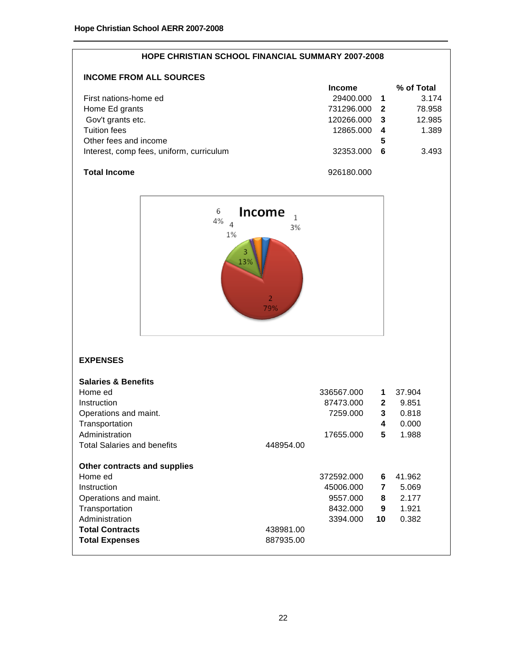| <b>HOPE CHRISTIAN SCHOOL FINANCIAL SUMMARY 2007-2008</b> |               |     |            |  |  |  |
|----------------------------------------------------------|---------------|-----|------------|--|--|--|
| <b>INCOME FROM ALL SOURCES</b>                           |               |     |            |  |  |  |
|                                                          | <b>Income</b> |     | % of Total |  |  |  |
| First nations-home ed                                    | 29400.000     | - 1 | 3.174      |  |  |  |
| Home Ed grants                                           | 731296.000    | - 2 | 78.958     |  |  |  |
| Gov't grants etc.                                        | 120266.000    | - 3 | 12.985     |  |  |  |
| Tuition fees                                             | 12865.000     | 4   | 1.389      |  |  |  |
| Other fees and income                                    |               | 5   |            |  |  |  |
| Interest, comp fees, uniform, curriculum                 | 32353.000     | 6   | 3.493      |  |  |  |
| <b>Total Income</b>                                      | 926180.000    |     |            |  |  |  |



# **EXPENSES**

| <b>Salaries &amp; Benefits</b>     |           |            |              |        |
|------------------------------------|-----------|------------|--------------|--------|
| Home ed                            |           | 336567.000 | 1            | 37.904 |
| Instruction                        |           | 87473.000  | $\mathbf{2}$ | 9.851  |
| Operations and maint.              |           | 7259.000   | 3            | 0.818  |
| Transportation                     |           |            | 4            | 0.000  |
| Administration                     |           | 17655.000  | 5            | 1.988  |
| <b>Total Salaries and benefits</b> | 448954.00 |            |              |        |
| Other contracts and supplies       |           |            |              |        |
| Home ed                            |           | 372592.000 | 6            | 41.962 |
| Instruction                        |           | 45006.000  | 7            | 5.069  |
| Operations and maint.              |           | 9557.000   | 8            | 2.177  |
| Transportation                     |           | 8432.000   | 9            | 1.921  |
| Administration                     |           | 3394.000   | 10           | 0.382  |
| <b>Total Contracts</b>             | 438981.00 |            |              |        |
| <b>Total Expenses</b>              | 887935.00 |            |              |        |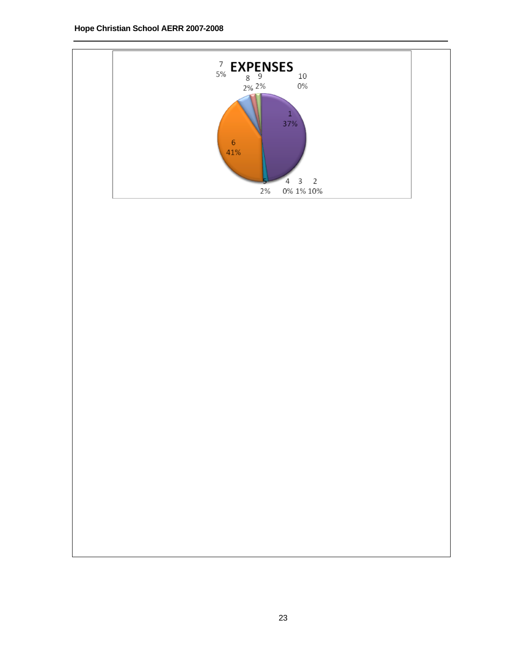